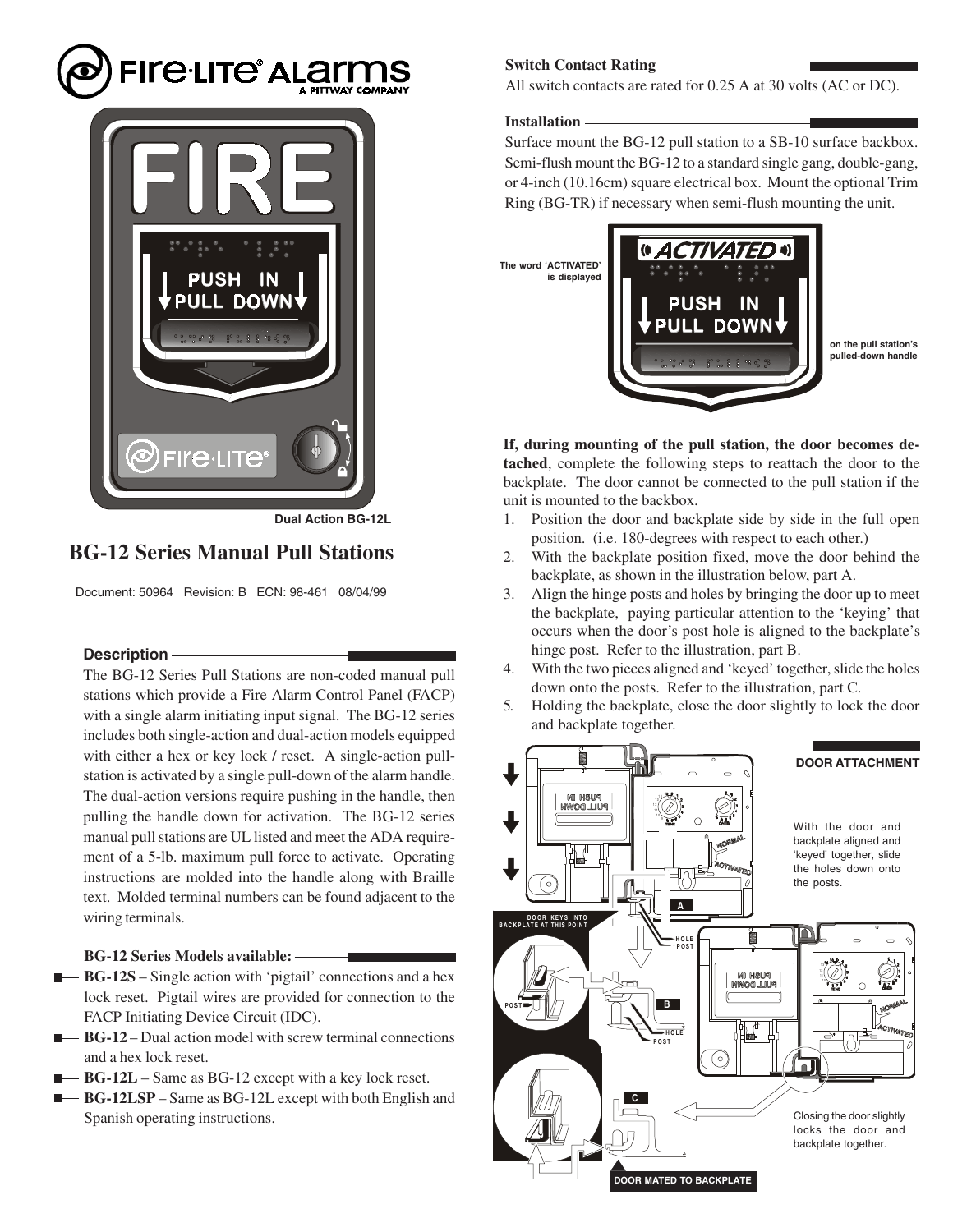



**Dual Action BG-12L**

# **BG-12 Series Manual Pull Stations**

Document: 50964 Revision: B ECN: 98-461 08/04/99

# **Description**

The BG-12 Series Pull Stations are non-coded manual pull stations which provide a Fire Alarm Control Panel (FACP) with a single alarm initiating input signal. The BG-12 series includes both single-action and dual-action models equipped with either a hex or key lock / reset. A single-action pullstation is activated by a single pull-down of the alarm handle. The dual-action versions require pushing in the handle, then pulling the handle down for activation. The BG-12 series manual pull stations are UL listed and meet the ADA requirement of a 5-lb. maximum pull force to activate. Operating instructions are molded into the handle along with Braille text. Molded terminal numbers can be found adjacent to the wiring terminals.

### **BG-12 Series Models available:**

- **BG-12S** Single action with 'pigtail' connections and a hex lock reset. Pigtail wires are provided for connection to the FACP Initiating Device Circuit (IDC).
- **BG-12** Dual action model with screw terminal connections and a hex lock reset.
- **BG-12L** Same as BG-12 except with a key lock reset.
- **BG-12LSP** Same as BG-12L except with both English and Spanish operating instructions.

### **Switch Contact Rating**

All switch contacts are rated for 0.25 A at 30 volts (AC or DC).

### **Installation**

Surface mount the BG-12 pull station to a SB-10 surface backbox. Semi-flush mount the BG-12 to a standard single gang, double-gang, or 4-inch (10.16cm) square electrical box. Mount the optional Trim Ring (BG-TR) if necessary when semi-flush mounting the unit.



**If, during mounting of the pull station, the door becomes detached**, complete the following steps to reattach the door to the backplate. The door cannot be connected to the pull station if the unit is mounted to the backbox.

- 1. Position the door and backplate side by side in the full open position. (i.e. 180-degrees with respect to each other.)
- 2. With the backplate position fixed, move the door behind the backplate, as shown in the illustration below, part A.
- 3. Align the hinge posts and holes by bringing the door up to meet the backplate, paying particular attention to the 'keying' that occurs when the door's post hole is aligned to the backplate's hinge post. Refer to the illustration, part B.
- 4. With the two pieces aligned and 'keyed' together, slide the holes down onto the posts. Refer to the illustration, part C.
- 5. Holding the backplate, close the door slightly to lock the door and backplate together.

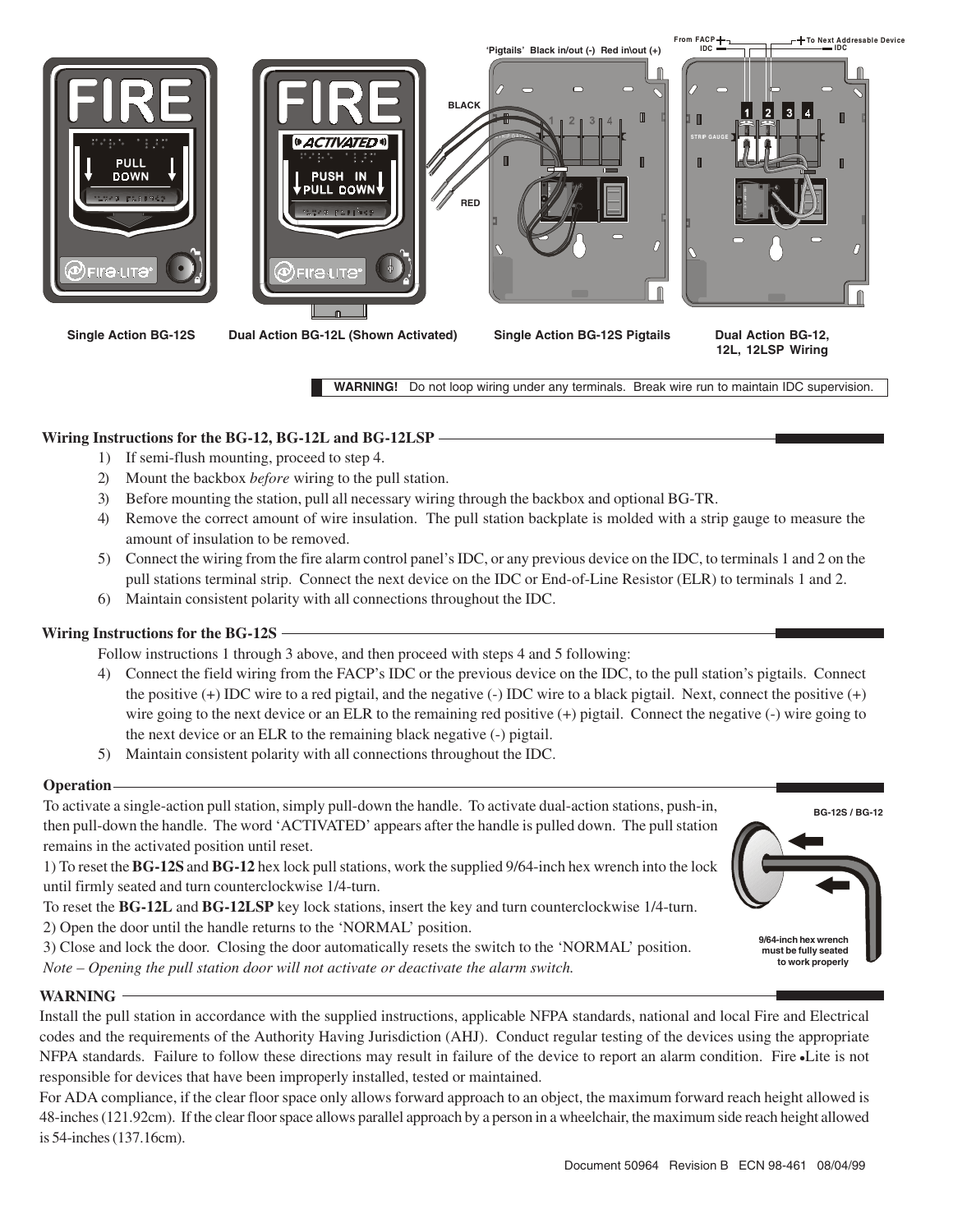

**WARNING!** Do not loop wiring under any terminals. Break wire run to maintain IDC supervision.

# **Wiring Instructions for the BG-12, BG-12L and BG-12LSP**

- 1) If semi-flush mounting, proceed to step 4.
- 2) Mount the backbox *before* wiring to the pull station.
- 3) Before mounting the station, pull all necessary wiring through the backbox and optional BG-TR.
- 4) Remove the correct amount of wire insulation. The pull station backplate is molded with a strip gauge to measure the amount of insulation to be removed.
- 5) Connect the wiring from the fire alarm control panel's IDC, or any previous device on the IDC, to terminals 1 and 2 on the pull stations terminal strip. Connect the next device on the IDC or End-of-Line Resistor (ELR) to terminals 1 and 2.
- 6) Maintain consistent polarity with all connections throughout the IDC.

# **Wiring Instructions for the BG-12S**

Follow instructions 1 through 3 above, and then proceed with steps 4 and 5 following:

- 4) Connect the field wiring from the FACP's IDC or the previous device on the IDC, to the pull station's pigtails. Connect the positive  $(+)$  IDC wire to a red pigtail, and the negative  $(-)$  IDC wire to a black pigtail. Next, connect the positive  $(+)$ wire going to the next device or an ELR to the remaining red positive (+) pigtail. Connect the negative (-) wire going to the next device or an ELR to the remaining black negative (-) pigtail.
- 5) Maintain consistent polarity with all connections throughout the IDC.

# **Operation**

To activate a single-action pull station, simply pull-down the handle. To activate dual-action stations, push-in, then pull-down the handle. The word 'ACTIVATED' appears after the handle is pulled down. The pull station remains in the activated position until reset.

1) To reset the **BG-12S** and **BG-12** hex lock pull stations, work the supplied 9/64-inch hex wrench into the lock until firmly seated and turn counterclockwise 1/4-turn.

To reset the **BG-12L** and **BG-12LSP** key lock stations, insert the key and turn counterclockwise 1/4-turn. 2) Open the door until the handle returns to the 'NORMAL' position.

3) Close and lock the door. Closing the door automatically resets the switch to the 'NORMAL' position.

*Note – Opening the pull station door will not activate or deactivate the alarm switch.*

# **WARNING**

Install the pull station in accordance with the supplied instructions, applicable NFPA standards, national and local Fire and Electrical codes and the requirements of the Authority Having Jurisdiction (AHJ). Conduct regular testing of the devices using the appropriate NFPA standards. Failure to follow these directions may result in failure of the device to report an alarm condition. Fire Lite is not responsible for devices that have been improperly installed, tested or maintained.

For ADA compliance, if the clear floor space only allows forward approach to an object, the maximum forward reach height allowed is 48-inches (121.92cm). If the clear floor space allows parallel approach by a person in a wheelchair, the maximum side reach height allowed is 54-inches (137.16cm).

**BG-12S / BG-12**

**9/64-inch hex wrench must be fully seated to work properly**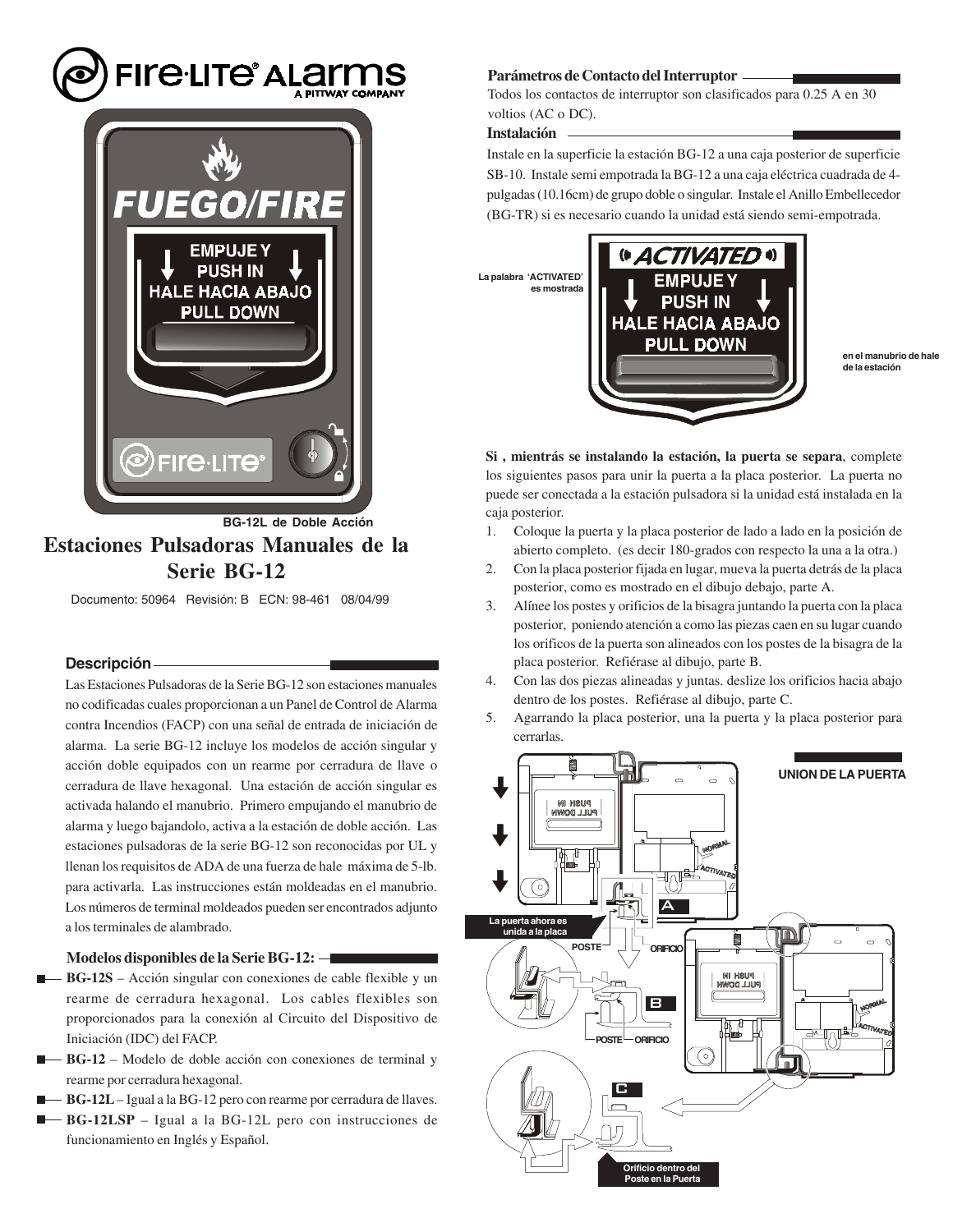# **FIFE-LITE<sup>®</sup> ALAITMS**



**Estaciones Pulsadoras Manuales de la Serie BG-12 BG-12L de Doble Acción**

Documento: 50964 Revisión: B ECN: 98-461 08/04/99

# **Descripción**

Las Estaciones Pulsadoras de la Serie BG-12 son estaciones manuales no codificadas cuales proporcionan a un Panel de Control de Alarma contra Incendios (FACP) con una señal de entrada de iniciación de alarma. La serie BG-12 incluye los modelos de acción singular y acción doble equipados con un rearme por cerradura de llave o cerradura de llave hexagonal. Una estación de acción singular es activada halando el manubrio. Primero empujando el manubrio de alarma y luego bajandolo, activa a la estación de doble acción. Las estaciones pulsadoras de la serie BG-12 son reconocidas por UL y llenan los requisitos de ADA de una fuerza de hale máxima de 5-lb. para activarla. Las instrucciones están moldeadas en el manubrio. Los números de terminal moldeados pueden ser encontrados adjunto a los terminales de alambrado.

# **Modelos disponibles de la Serie BG-12:**

- **BG-12S** Acción singular con conexiones de cable flexible y un rearme de cerradura hexagonal. Los cables flexibles son proporcionados para la conexión al Circuito del Dispositivo de Iniciación (IDC) del FACP.
- **BG-12** Modelo de doble acción con conexiones de terminal y rearme por cerradura hexagonal.
- **BG-12L** Igual a la BG-12 pero con rearme por cerradura de llaves.
- **BG-12LSP** Igual a la BG-12L pero con instrucciones de funcionamiento en Inglés y Español.

### **Parámetros de Contacto del Interruptor**

Todos los contactos de interruptor son clasificados para 0.25 A en 30 voltios (AC o DC).

**Instalación**

Instale en la superficie la estación BG-12 a una caja posterior de superficie SB-10. Instale semi empotrada la BG-12 a una caja eléctrica cuadrada de 4 pulgadas (10.16cm) de grupo doble o singular. Instale el Anillo Embellecedor (BG-TR) si es necesario cuando la unidad está siendo semi-empotrada.



**en el manubrio de hale de la estación**

**Si , mientrás se instalando la estación, la puerta se separa**, complete los siguientes pasos para unir la puerta a la placa posterior. La puerta no puede ser conectada a la estación pulsadora si la unidad está instalada en la caja posterior.

- 1. Coloque la puerta y la placa posterior de lado a lado en la posición de abierto completo. (es decir 180-grados con respecto la una a la otra.)
- 2. Con la placa posterior fijada en lugar, mueva la puerta detrás de la placa posterior, como es mostrado en el dibujo debajo, parte A.
- 3. Alínee los postes y orificios de la bisagra juntando la puerta con la placa posterior, poniendo atención a como las piezas caen en su lugar cuando los orificos de la puerta son alineados con los postes de la bisagra de la placa posterior. Refiérase al dibujo, parte B.
- 4. Con las dos piezas alineadas y juntas. deslize los orificios hacia abajo dentro de los postes. Refiérase al dibujo, parte C.
- 5. Agarrando la placa posterior, una la puerta y la placa posterior para cerrarlas.